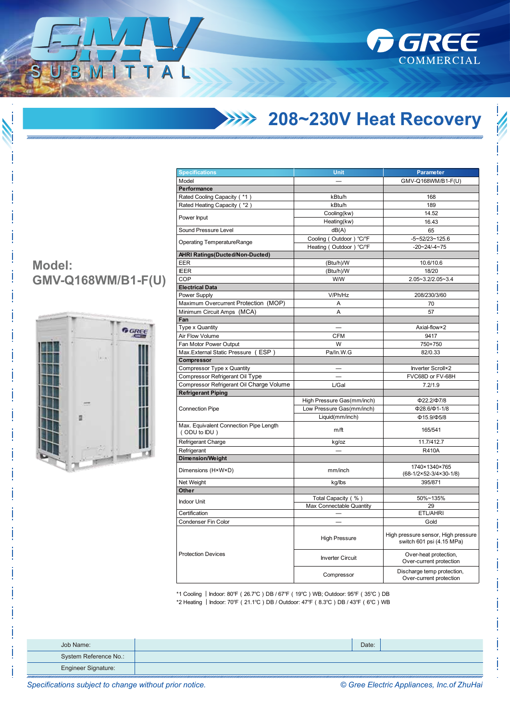

## **208~230V Heat Recovery**

| <b>Specifications</b>                                  | Unit                       | <b>Parameter</b>                                                 |  |
|--------------------------------------------------------|----------------------------|------------------------------------------------------------------|--|
| Model                                                  |                            | GMV-Q168WM/B1-F(U)                                               |  |
| Performance                                            |                            |                                                                  |  |
| Rated Cooling Capacity (*1)                            | kBtu/h                     | 168                                                              |  |
| Rated Heating Capacity (*2)                            | kBtu/h                     | 189                                                              |  |
|                                                        | Cooling(kw)                | 14.52                                                            |  |
| Power Input                                            | Heating(kw)                | 16.43                                                            |  |
| Sound Pressure Level                                   | dB(A)                      | 65                                                               |  |
|                                                        | Cooling (Outdoor) °C/°F    | $-5 - 52/23 - 125.6$                                             |  |
| <b>Operating TemperatureRange</b>                      | Heating (Outdoor)<br>°C/°F | $-20 - 24 - 4 - 75$                                              |  |
| <b>AHRI Ratings(Ducted/Non-Ducted)</b>                 |                            |                                                                  |  |
| EER                                                    | (Btu/h)/W                  | 10.6/10.6                                                        |  |
| <b>IEER</b>                                            | (Btu/h)/W                  | 18/20                                                            |  |
| COP                                                    | W/W                        | 2.05~3.2/2.05~3.4                                                |  |
| <b>Electrical Data</b>                                 |                            |                                                                  |  |
| Power Supply                                           | V/Ph/Hz                    | 208/230/3/60                                                     |  |
| Maximum Overcurrent Protection (MOP)                   | Α                          | 70                                                               |  |
| Minimum Circuit Amps (MCA)                             | A                          | 57                                                               |  |
| Fan                                                    |                            |                                                                  |  |
| Type x Quantity                                        |                            | Axial-flow×2                                                     |  |
| Air Flow Volume                                        | <b>CFM</b>                 | 9417                                                             |  |
| Fan Motor Power Output                                 | W                          | 750+750                                                          |  |
| Max. External Static Pressure (ESP)                    | Pa/In.W.G                  | 82/0.33                                                          |  |
| Compressor                                             |                            |                                                                  |  |
| Compressor Type x Quantity                             |                            | Inverter Scroll×2                                                |  |
| Compressor Refrigerant Oil Type                        |                            | FVC68D or FV-68H                                                 |  |
| Compressor Refrigerant Oil Charge Volume               | L/Gal                      | 7.2/1.9                                                          |  |
| <b>Refrigerant Piping</b>                              |                            |                                                                  |  |
|                                                        | High Pressure Gas(mm/inch) | Ф22.2/Ф7/8                                                       |  |
| <b>Connection Pipe</b>                                 | Low Pressure Gas(mm/inch)  | $\Phi$ 28.6/ $\Phi$ 1-1/8                                        |  |
|                                                        |                            | $\Phi$ 15.9/ $\Phi$ 5/8                                          |  |
|                                                        | Liquid(mm/inch)            |                                                                  |  |
| Max. Equivalent Connection Pipe Length<br>(ODU to IDU) | m/ft                       | 165/541                                                          |  |
| Refrigerant Charge                                     | kg/oz                      | 11.7/412.7                                                       |  |
| Refrigerant                                            |                            | <b>R410A</b>                                                     |  |
| <b>Dimension/Weight</b>                                |                            |                                                                  |  |
| Dimensions (H×W×D)                                     | mm/inch                    | 1740×1340×765<br>(68-1/2×52-3/4×30-1/8)                          |  |
| Net Weight                                             | kg/lbs                     | 395/871                                                          |  |
| Other                                                  |                            |                                                                  |  |
| <b>Indoor Unit</b>                                     | Total Capacity (%)         | 50%~135%                                                         |  |
|                                                        | Max Connectable Quantity   | 29                                                               |  |
| Certification                                          |                            | ETL/AHRI                                                         |  |
| Condenser Fin Color                                    |                            | Gold                                                             |  |
|                                                        | <b>High Pressure</b>       | High pressure sensor, High pressure<br>switch 601 psi (4.15 MPa) |  |
| <b>Protection Devices</b>                              | <b>Inverter Circuit</b>    | Over-heat protection,<br>Over-current protection                 |  |
|                                                        | Compressor                 | Discharge temp protection,<br>Over-current protection            |  |

\*1 Cooling ︱Indoor: 80℉(26.7℃)DB / 67℉(19℃)WB; Outdoor: 95℉(35℃)DB \*2 Heating ︱Indoor: 70℉(21.1℃)DB / Outdoor: 47℉(8.3℃)DB / 43℉(6℃)WB

| Job Name:             | Date: |  |
|-----------------------|-------|--|
| System Reference No.: |       |  |
| Engineer Signature:   |       |  |

**Model: GMV-Q168WM/B1-F(U)**

 $\overline{1}$ 

TAL



*Specifications subject to change without prior notice. © Gree Electric Appliances, Inc.of ZhuHai*